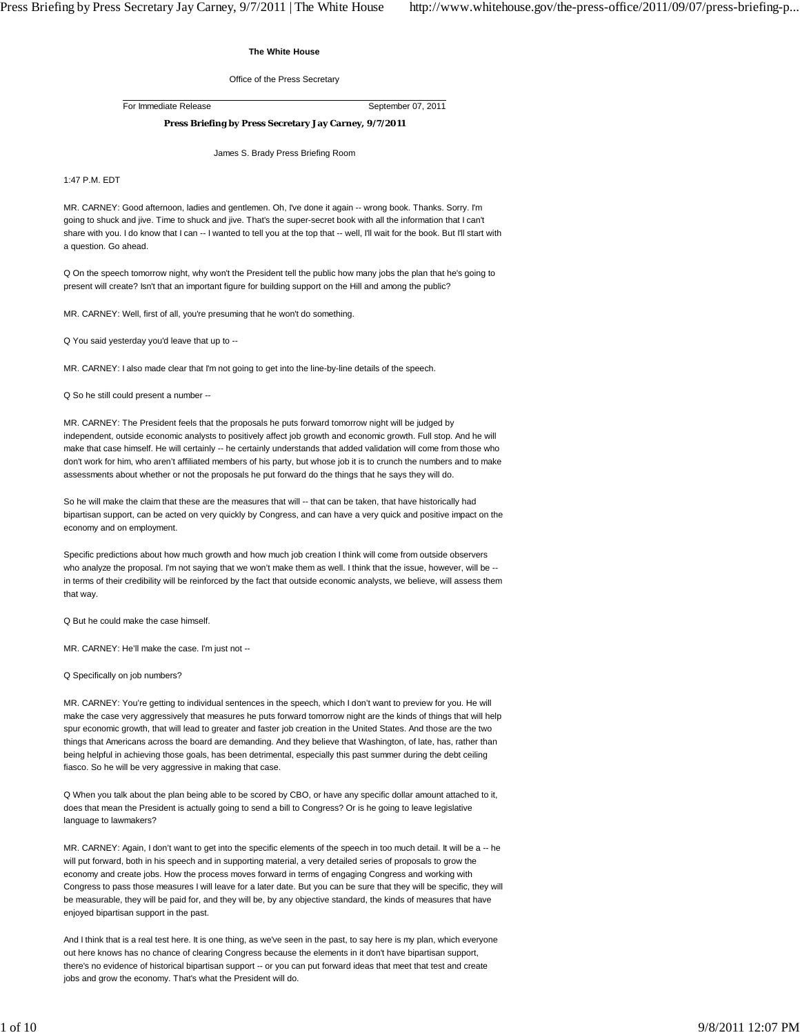## **The White House**

Office of the Press Secretary

For Immediate Release September 07, 2011

## **Press Briefing by Press Secretary Jay Carney, 9/7/2011**

James S. Brady Press Briefing Room

## 1:47 P.M. EDT

MR. CARNEY: Good afternoon, ladies and gentlemen. Oh, I've done it again -- wrong book. Thanks. Sorry. I'm going to shuck and jive. Time to shuck and jive. That's the super-secret book with all the information that I can't share with you. I do know that I can -- I wanted to tell you at the top that -- well, I'll wait for the book. But I'll start with a question. Go ahead.

Q On the speech tomorrow night, why won't the President tell the public how many jobs the plan that he's going to present will create? Isn't that an important figure for building support on the Hill and among the public?

MR. CARNEY: Well, first of all, you're presuming that he won't do something.

Q You said yesterday you'd leave that up to --

MR. CARNEY: I also made clear that I'm not going to get into the line-by-line details of the speech.

Q So he still could present a number --

MR. CARNEY: The President feels that the proposals he puts forward tomorrow night will be judged by independent, outside economic analysts to positively affect job growth and economic growth. Full stop. And he will make that case himself. He will certainly -- he certainly understands that added validation will come from those who don't work for him, who aren't affiliated members of his party, but whose job it is to crunch the numbers and to make assessments about whether or not the proposals he put forward do the things that he says they will do.

So he will make the claim that these are the measures that will -- that can be taken, that have historically had bipartisan support, can be acted on very quickly by Congress, and can have a very quick and positive impact on the economy and on employment.

Specific predictions about how much growth and how much job creation I think will come from outside observers who analyze the proposal. I'm not saying that we won't make them as well. I think that the issue, however, will be -in terms of their credibility will be reinforced by the fact that outside economic analysts, we believe, will assess them that way.

Q But he could make the case himself.

MR. CARNEY: He'll make the case. I'm just not --

Q Specifically on job numbers?

MR. CARNEY: You're getting to individual sentences in the speech, which I don't want to preview for you. He will make the case very aggressively that measures he puts forward tomorrow night are the kinds of things that will help spur economic growth, that will lead to greater and faster job creation in the United States. And those are the two things that Americans across the board are demanding. And they believe that Washington, of late, has, rather than being helpful in achieving those goals, has been detrimental, especially this past summer during the debt ceiling fiasco. So he will be very aggressive in making that case.

Q When you talk about the plan being able to be scored by CBO, or have any specific dollar amount attached to it, does that mean the President is actually going to send a bill to Congress? Or is he going to leave legislative language to lawmakers?

MR. CARNEY: Again, I don't want to get into the specific elements of the speech in too much detail. It will be a -- he will put forward, both in his speech and in supporting material, a very detailed series of proposals to grow the economy and create jobs. How the process moves forward in terms of engaging Congress and working with Congress to pass those measures I will leave for a later date. But you can be sure that they will be specific, they will be measurable, they will be paid for, and they will be, by any objective standard, the kinds of measures that have enjoyed bipartisan support in the past.

And I think that is a real test here. It is one thing, as we've seen in the past, to say here is my plan, which everyone out here knows has no chance of clearing Congress because the elements in it don't have bipartisan support, there's no evidence of historical bipartisan support -- or you can put forward ideas that meet that test and create jobs and grow the economy. That's what the President will do.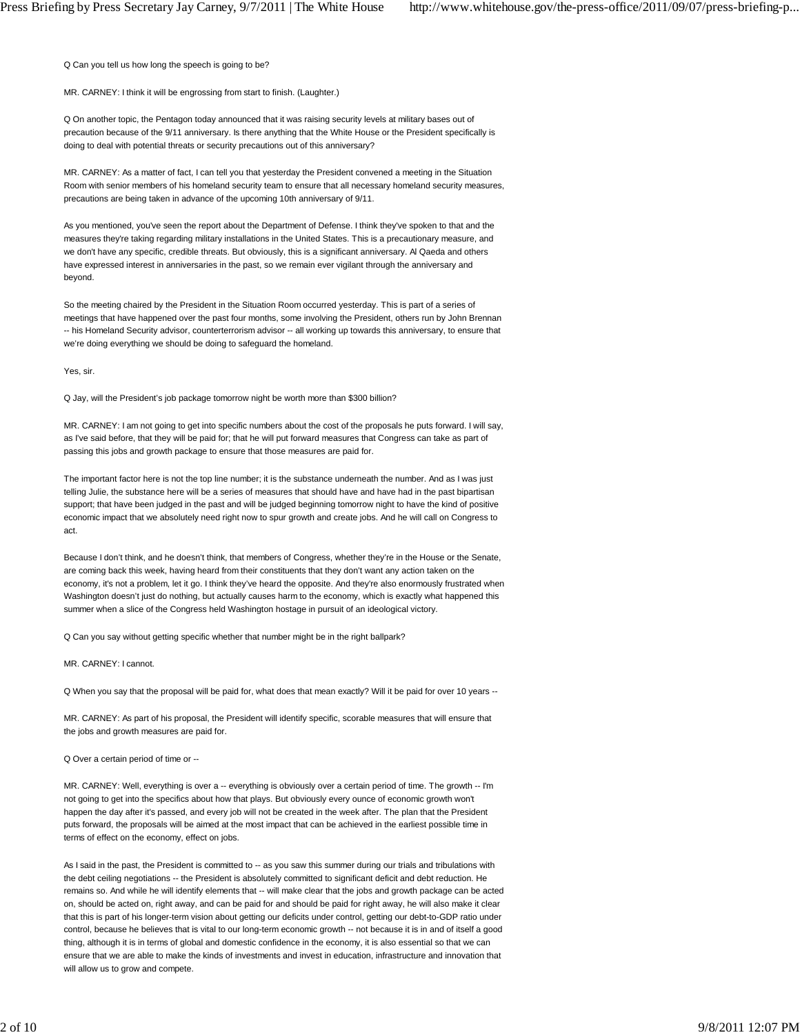Q Can you tell us how long the speech is going to be?

MR. CARNEY: I think it will be engrossing from start to finish. (Laughter.)

Q On another topic, the Pentagon today announced that it was raising security levels at military bases out of precaution because of the 9/11 anniversary. Is there anything that the White House or the President specifically is doing to deal with potential threats or security precautions out of this anniversary?

MR. CARNEY: As a matter of fact, I can tell you that yesterday the President convened a meeting in the Situation Room with senior members of his homeland security team to ensure that all necessary homeland security measures, precautions are being taken in advance of the upcoming 10th anniversary of 9/11.

As you mentioned, you've seen the report about the Department of Defense. I think they've spoken to that and the measures they're taking regarding military installations in the United States. This is a precautionary measure, and we don't have any specific, credible threats. But obviously, this is a significant anniversary. Al Qaeda and others have expressed interest in anniversaries in the past, so we remain ever vigilant through the anniversary and beyond.

So the meeting chaired by the President in the Situation Room occurred yesterday. This is part of a series of meetings that have happened over the past four months, some involving the President, others run by John Brennan -- his Homeland Security advisor, counterterrorism advisor -- all working up towards this anniversary, to ensure that we're doing everything we should be doing to safeguard the homeland.

Yes, sir.

Q Jay, will the President's job package tomorrow night be worth more than \$300 billion?

MR. CARNEY: I am not going to get into specific numbers about the cost of the proposals he puts forward. I will say, as I've said before, that they will be paid for; that he will put forward measures that Congress can take as part of passing this jobs and growth package to ensure that those measures are paid for.

The important factor here is not the top line number; it is the substance underneath the number. And as I was just telling Julie, the substance here will be a series of measures that should have and have had in the past bipartisan support; that have been judged in the past and will be judged beginning tomorrow night to have the kind of positive economic impact that we absolutely need right now to spur growth and create jobs. And he will call on Congress to act.

Because I don't think, and he doesn't think, that members of Congress, whether they're in the House or the Senate, are coming back this week, having heard from their constituents that they don't want any action taken on the economy, it's not a problem, let it go. I think they've heard the opposite. And they're also enormously frustrated when Washington doesn't just do nothing, but actually causes harm to the economy, which is exactly what happened this summer when a slice of the Congress held Washington hostage in pursuit of an ideological victory.

Q Can you say without getting specific whether that number might be in the right ballpark?

MR. CARNEY: I cannot.

Q When you say that the proposal will be paid for, what does that mean exactly? Will it be paid for over 10 years --

MR. CARNEY: As part of his proposal, the President will identify specific, scorable measures that will ensure that the jobs and growth measures are paid for.

Q Over a certain period of time or --

MR. CARNEY: Well, everything is over a -- everything is obviously over a certain period of time. The growth -- I'm not going to get into the specifics about how that plays. But obviously every ounce of economic growth won't happen the day after it's passed, and every job will not be created in the week after. The plan that the President puts forward, the proposals will be aimed at the most impact that can be achieved in the earliest possible time in terms of effect on the economy, effect on jobs.

As I said in the past, the President is committed to -- as you saw this summer during our trials and tribulations with the debt ceiling negotiations -- the President is absolutely committed to significant deficit and debt reduction. He remains so. And while he will identify elements that -- will make clear that the jobs and growth package can be acted on, should be acted on, right away, and can be paid for and should be paid for right away, he will also make it clear that this is part of his longer-term vision about getting our deficits under control, getting our debt-to-GDP ratio under control, because he believes that is vital to our long-term economic growth -- not because it is in and of itself a good thing, although it is in terms of global and domestic confidence in the economy, it is also essential so that we can ensure that we are able to make the kinds of investments and invest in education, infrastructure and innovation that will allow us to grow and compete.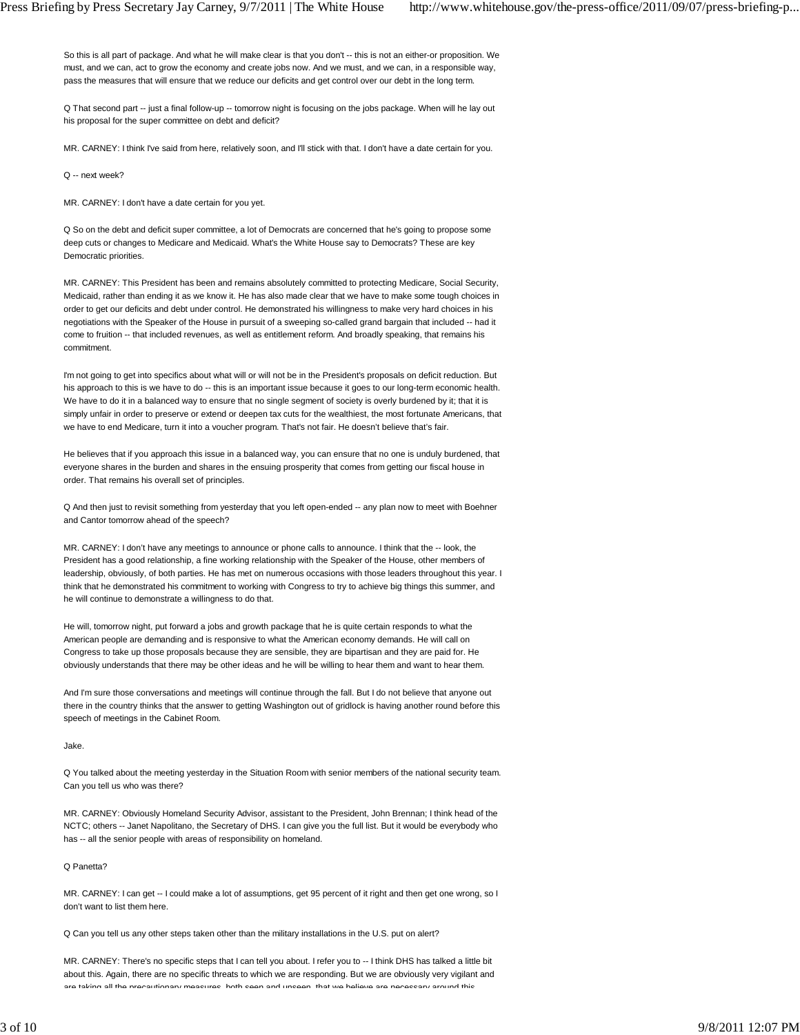So this is all part of package. And what he will make clear is that you don't -- this is not an either-or proposition. We must, and we can, act to grow the economy and create jobs now. And we must, and we can, in a responsible way, pass the measures that will ensure that we reduce our deficits and get control over our debt in the long term.

Q That second part -- just a final follow-up -- tomorrow night is focusing on the jobs package. When will he lay out his proposal for the super committee on debt and deficit?

MR. CARNEY: I think I've said from here, relatively soon, and I'll stick with that. I don't have a date certain for you.

Q -- next week?

MR. CARNEY: I don't have a date certain for you yet.

Q So on the debt and deficit super committee, a lot of Democrats are concerned that he's going to propose some deep cuts or changes to Medicare and Medicaid. What's the White House say to Democrats? These are key Democratic priorities.

MR. CARNEY: This President has been and remains absolutely committed to protecting Medicare, Social Security, Medicaid, rather than ending it as we know it. He has also made clear that we have to make some tough choices in order to get our deficits and debt under control. He demonstrated his willingness to make very hard choices in his negotiations with the Speaker of the House in pursuit of a sweeping so-called grand bargain that included -- had it come to fruition -- that included revenues, as well as entitlement reform. And broadly speaking, that remains his commitment.

I'm not going to get into specifics about what will or will not be in the President's proposals on deficit reduction. But his approach to this is we have to do -- this is an important issue because it goes to our long-term economic health. We have to do it in a balanced way to ensure that no single segment of society is overly burdened by it; that it is simply unfair in order to preserve or extend or deepen tax cuts for the wealthiest, the most fortunate Americans, that we have to end Medicare, turn it into a voucher program. That's not fair. He doesn't believe that's fair.

He believes that if you approach this issue in a balanced way, you can ensure that no one is unduly burdened, that everyone shares in the burden and shares in the ensuing prosperity that comes from getting our fiscal house in order. That remains his overall set of principles.

Q And then just to revisit something from yesterday that you left open-ended -- any plan now to meet with Boehner and Cantor tomorrow ahead of the speech?

MR. CARNEY: I don't have any meetings to announce or phone calls to announce. I think that the -- look, the President has a good relationship, a fine working relationship with the Speaker of the House, other members of leadership, obviously, of both parties. He has met on numerous occasions with those leaders throughout this year. I think that he demonstrated his commitment to working with Congress to try to achieve big things this summer, and he will continue to demonstrate a willingness to do that.

He will, tomorrow night, put forward a jobs and growth package that he is quite certain responds to what the American people are demanding and is responsive to what the American economy demands. He will call on Congress to take up those proposals because they are sensible, they are bipartisan and they are paid for. He obviously understands that there may be other ideas and he will be willing to hear them and want to hear them.

And I'm sure those conversations and meetings will continue through the fall. But I do not believe that anyone out there in the country thinks that the answer to getting Washington out of gridlock is having another round before this speech of meetings in the Cabinet Room.

Jake.

Q You talked about the meeting yesterday in the Situation Room with senior members of the national security team. Can you tell us who was there?

MR. CARNEY: Obviously Homeland Security Advisor, assistant to the President, John Brennan; I think head of the NCTC; others -- Janet Napolitano, the Secretary of DHS. I can give you the full list. But it would be everybody who has -- all the senior people with areas of responsibility on homeland.

Q Panetta?

MR. CARNEY: I can get -- I could make a lot of assumptions, get 95 percent of it right and then get one wrong, so I don't want to list them here.

Q Can you tell us any other steps taken other than the military installations in the U.S. put on alert?

MR. CARNEY: There's no specific steps that I can tell you about. I refer you to -- I think DHS has talked a little bit about this. Again, there are no specific threats to which we are responding. But we are obviously very vigilant and are taking all the precautionary measures both seen and unseen that we believe are necessary around this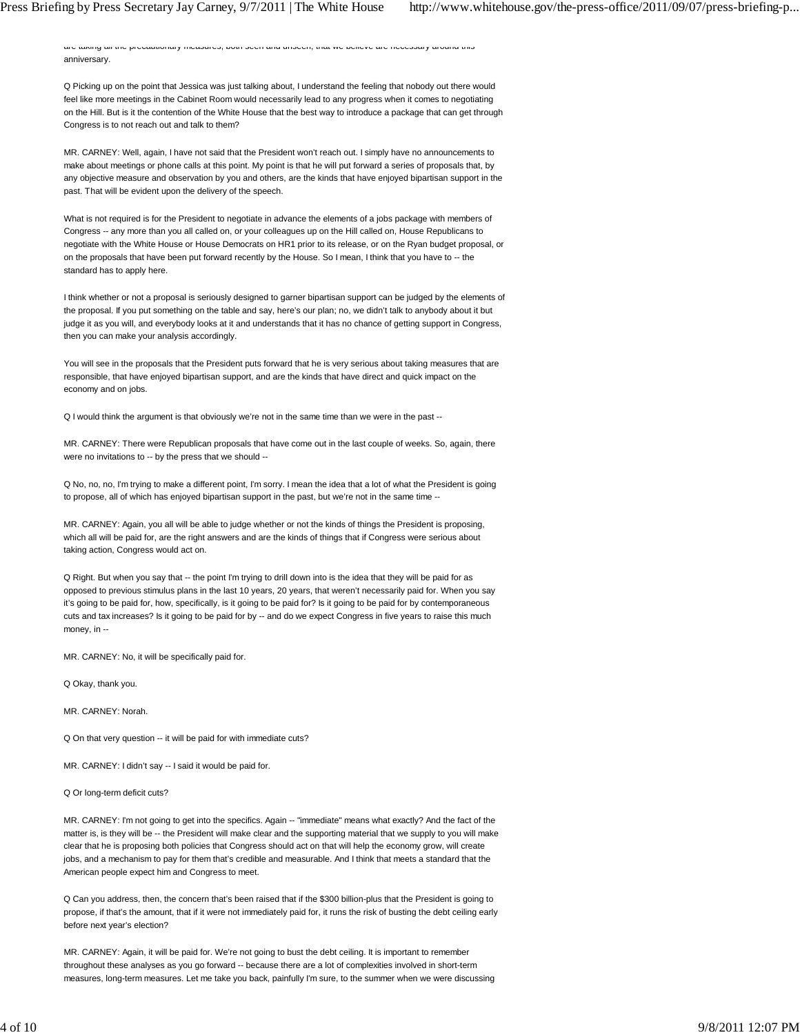are taking all the precautionary measures, both seen and unseen, that we believe are necessary around this anniversary.

Q Picking up on the point that Jessica was just talking about, I understand the feeling that nobody out there would feel like more meetings in the Cabinet Room would necessarily lead to any progress when it comes to negotiating on the Hill. But is it the contention of the White House that the best way to introduce a package that can get through Congress is to not reach out and talk to them?

MR. CARNEY: Well, again, I have not said that the President won't reach out. I simply have no announcements to make about meetings or phone calls at this point. My point is that he will put forward a series of proposals that, by any objective measure and observation by you and others, are the kinds that have enjoyed bipartisan support in the past. That will be evident upon the delivery of the speech.

What is not required is for the President to negotiate in advance the elements of a jobs package with members of Congress -- any more than you all called on, or your colleagues up on the Hill called on, House Republicans to negotiate with the White House or House Democrats on HR1 prior to its release, or on the Ryan budget proposal, or on the proposals that have been put forward recently by the House. So I mean, I think that you have to -- the standard has to apply here.

I think whether or not a proposal is seriously designed to garner bipartisan support can be judged by the elements of the proposal. If you put something on the table and say, here's our plan; no, we didn't talk to anybody about it but judge it as you will, and everybody looks at it and understands that it has no chance of getting support in Congress, then you can make your analysis accordingly.

You will see in the proposals that the President puts forward that he is very serious about taking measures that are responsible, that have enjoyed bipartisan support, and are the kinds that have direct and quick impact on the economy and on jobs.

Q I would think the argument is that obviously we're not in the same time than we were in the past --

MR. CARNEY: There were Republican proposals that have come out in the last couple of weeks. So, again, there were no invitations to -- by the press that we should --

Q No, no, no, I'm trying to make a different point, I'm sorry. I mean the idea that a lot of what the President is going to propose, all of which has enjoyed bipartisan support in the past, but we're not in the same time --

MR. CARNEY: Again, you all will be able to judge whether or not the kinds of things the President is proposing, which all will be paid for, are the right answers and are the kinds of things that if Congress were serious about taking action, Congress would act on.

Q Right. But when you say that -- the point I'm trying to drill down into is the idea that they will be paid for as opposed to previous stimulus plans in the last 10 years, 20 years, that weren't necessarily paid for. When you say it's going to be paid for, how, specifically, is it going to be paid for? Is it going to be paid for by contemporaneous cuts and tax increases? Is it going to be paid for by -- and do we expect Congress in five years to raise this much money, in --

MR. CARNEY: No, it will be specifically paid for.

Q Okay, thank you.

MR. CARNEY: Norah.

Q On that very question -- it will be paid for with immediate cuts?

MR. CARNEY: I didn't say -- I said it would be paid for.

Q Or long-term deficit cuts?

MR. CARNEY: I'm not going to get into the specifics. Again -- "immediate" means what exactly? And the fact of the matter is, is they will be -- the President will make clear and the supporting material that we supply to you will make clear that he is proposing both policies that Congress should act on that will help the economy grow, will create jobs, and a mechanism to pay for them that's credible and measurable. And I think that meets a standard that the American people expect him and Congress to meet.

Q Can you address, then, the concern that's been raised that if the \$300 billion-plus that the President is going to propose, if that's the amount, that if it were not immediately paid for, it runs the risk of busting the debt ceiling early before next year's election?

MR. CARNEY: Again, it will be paid for. We're not going to bust the debt ceiling. It is important to remember throughout these analyses as you go forward -- because there are a lot of complexities involved in short-term measures, long-term measures. Let me take you back, painfully I'm sure, to the summer when we were discussing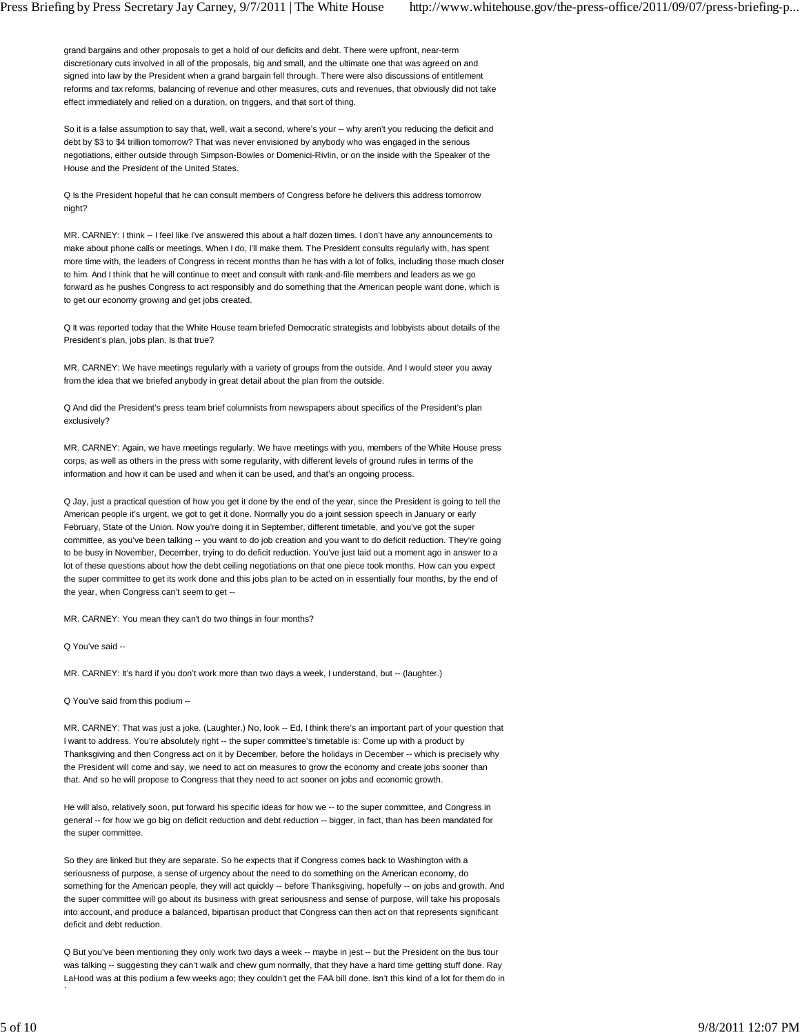grand bargains and other proposals to get a hold of our deficits and debt. There were upfront, near-term discretionary cuts involved in all of the proposals, big and small, and the ultimate one that was agreed on and signed into law by the President when a grand bargain fell through. There were also discussions of entitlement reforms and tax reforms, balancing of revenue and other measures, cuts and revenues, that obviously did not take effect immediately and relied on a duration, on triggers, and that sort of thing.

So it is a false assumption to say that, well, wait a second, where's your -- why aren't you reducing the deficit and debt by \$3 to \$4 trillion tomorrow? That was never envisioned by anybody who was engaged in the serious negotiations, either outside through Simpson-Bowles or Domenici-Rivlin, or on the inside with the Speaker of the House and the President of the United States.

Q Is the President hopeful that he can consult members of Congress before he delivers this address tomorrow night?

MR. CARNEY: I think -- I feel like I've answered this about a half dozen times. I don't have any announcements to make about phone calls or meetings. When I do, I'll make them. The President consults regularly with, has spent more time with, the leaders of Congress in recent months than he has with a lot of folks, including those much closer to him. And I think that he will continue to meet and consult with rank-and-file members and leaders as we go forward as he pushes Congress to act responsibly and do something that the American people want done, which is to get our economy growing and get jobs created.

Q It was reported today that the White House team briefed Democratic strategists and lobbyists about details of the President's plan, jobs plan. Is that true?

MR. CARNEY: We have meetings regularly with a variety of groups from the outside. And I would steer you away from the idea that we briefed anybody in great detail about the plan from the outside.

Q And did the President's press team brief columnists from newspapers about specifics of the President's plan exclusively?

MR. CARNEY: Again, we have meetings regularly. We have meetings with you, members of the White House press corps, as well as others in the press with some regularity, with different levels of ground rules in terms of the information and how it can be used and when it can be used, and that's an ongoing process.

Q Jay, just a practical question of how you get it done by the end of the year, since the President is going to tell the American people it's urgent, we got to get it done. Normally you do a joint session speech in January or early February, State of the Union. Now you're doing it in September, different timetable, and you've got the super committee, as you've been talking -- you want to do job creation and you want to do deficit reduction. They're going to be busy in November, December, trying to do deficit reduction. You've just laid out a moment ago in answer to a lot of these questions about how the debt ceiling negotiations on that one piece took months. How can you expect the super committee to get its work done and this jobs plan to be acted on in essentially four months, by the end of the year, when Congress can't seem to get --

MR. CARNEY: You mean they can't do two things in four months?

Q You've said --

MR. CARNEY: It's hard if you don't work more than two days a week, I understand, but -- (laughter.)

Q You've said from this podium --

MR. CARNEY: That was just a joke. (Laughter.) No, look -- Ed, I think there's an important part of your question that I want to address. You're absolutely right -- the super committee's timetable is: Come up with a product by Thanksgiving and then Congress act on it by December, before the holidays in December -- which is precisely why the President will come and say, we need to act on measures to grow the economy and create jobs sooner than that. And so he will propose to Congress that they need to act sooner on jobs and economic growth.

He will also, relatively soon, put forward his specific ideas for how we -- to the super committee, and Congress in general -- for how we go big on deficit reduction and debt reduction -- bigger, in fact, than has been mandated for the super committee.

So they are linked but they are separate. So he expects that if Congress comes back to Washington with a seriousness of purpose, a sense of urgency about the need to do something on the American economy, do something for the American people, they will act quickly -- before Thanksgiving, hopefully -- on jobs and growth. And the super committee will go about its business with great seriousness and sense of purpose, will take his proposals into account, and produce a balanced, bipartisan product that Congress can then act on that represents significant deficit and debt reduction.

Q But you've been mentioning they only work two days a week -- maybe in jest -- but the President on the bus tour was talking -- suggesting they can't walk and chew gum normally, that they have a hard time getting stuff done. Ray LaHood was at this podium a few weeks ago; they couldn't get the FAA bill done. Isn't this kind of a lot for them do in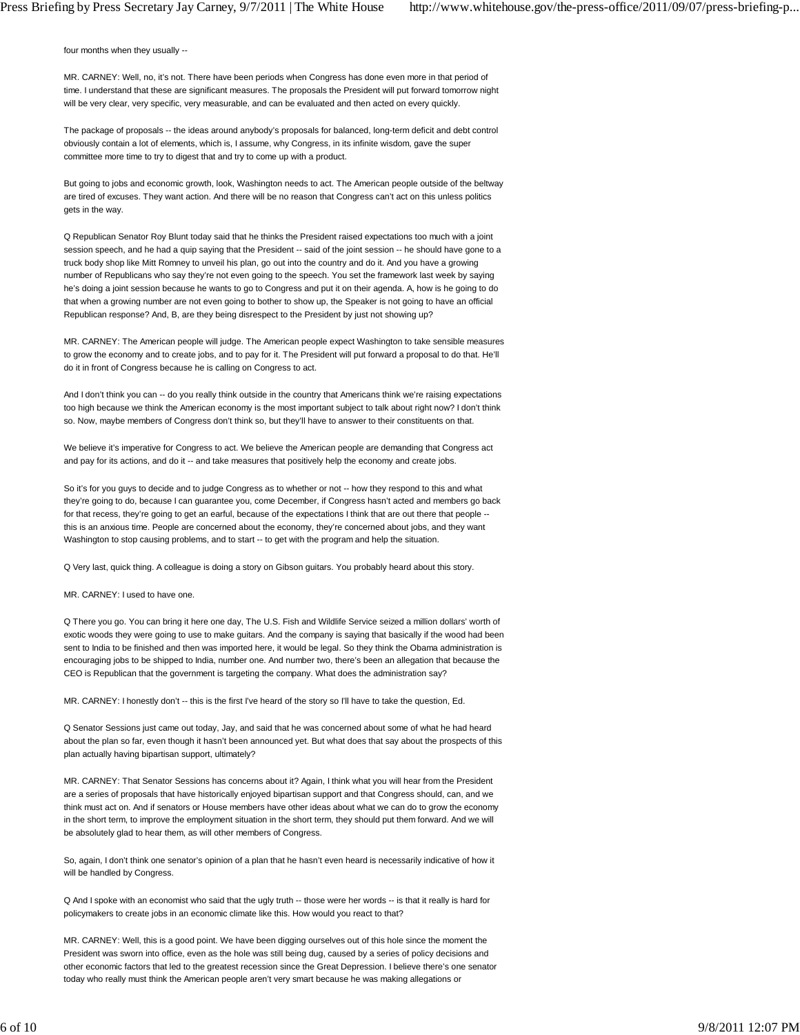four months when they usually --

MR. CARNEY: Well, no, it's not. There have been periods when Congress has done even more in that period of time. I understand that these are significant measures. The proposals the President will put forward tomorrow night will be very clear, very specific, very measurable, and can be evaluated and then acted on every quickly.

The package of proposals -- the ideas around anybody's proposals for balanced, long-term deficit and debt control obviously contain a lot of elements, which is, I assume, why Congress, in its infinite wisdom, gave the super committee more time to try to digest that and try to come up with a product.

But going to jobs and economic growth, look, Washington needs to act. The American people outside of the beltway are tired of excuses. They want action. And there will be no reason that Congress can't act on this unless politics gets in the way.

Q Republican Senator Roy Blunt today said that he thinks the President raised expectations too much with a joint session speech, and he had a quip saying that the President -- said of the joint session -- he should have gone to a truck body shop like Mitt Romney to unveil his plan, go out into the country and do it. And you have a growing number of Republicans who say they're not even going to the speech. You set the framework last week by saying he's doing a joint session because he wants to go to Congress and put it on their agenda. A, how is he going to do that when a growing number are not even going to bother to show up, the Speaker is not going to have an official Republican response? And, B, are they being disrespect to the President by just not showing up?

MR. CARNEY: The American people will judge. The American people expect Washington to take sensible measures to grow the economy and to create jobs, and to pay for it. The President will put forward a proposal to do that. He'll do it in front of Congress because he is calling on Congress to act.

And I don't think you can -- do you really think outside in the country that Americans think we're raising expectations too high because we think the American economy is the most important subject to talk about right now? I don't think so. Now, maybe members of Congress don't think so, but they'll have to answer to their constituents on that.

We believe it's imperative for Congress to act. We believe the American people are demanding that Congress act and pay for its actions, and do it -- and take measures that positively help the economy and create jobs.

So it's for you guys to decide and to judge Congress as to whether or not -- how they respond to this and what they're going to do, because I can guarantee you, come December, if Congress hasn't acted and members go back for that recess, they're going to get an earful, because of the expectations I think that are out there that people - this is an anxious time. People are concerned about the economy, they're concerned about jobs, and they want Washington to stop causing problems, and to start -- to get with the program and help the situation.

Q Very last, quick thing. A colleague is doing a story on Gibson guitars. You probably heard about this story.

MR. CARNEY: I used to have one.

Q There you go. You can bring it here one day, The U.S. Fish and Wildlife Service seized a million dollars' worth of exotic woods they were going to use to make guitars. And the company is saying that basically if the wood had been sent to India to be finished and then was imported here, it would be legal. So they think the Obama administration is encouraging jobs to be shipped to India, number one. And number two, there's been an allegation that because the CEO is Republican that the government is targeting the company. What does the administration say?

MR. CARNEY: I honestly don't -- this is the first I've heard of the story so I'll have to take the question, Ed.

Q Senator Sessions just came out today, Jay, and said that he was concerned about some of what he had heard about the plan so far, even though it hasn't been announced yet. But what does that say about the prospects of this plan actually having bipartisan support, ultimately?

MR. CARNEY: That Senator Sessions has concerns about it? Again, I think what you will hear from the President are a series of proposals that have historically enjoyed bipartisan support and that Congress should, can, and we think must act on. And if senators or House members have other ideas about what we can do to grow the economy in the short term, to improve the employment situation in the short term, they should put them forward. And we will be absolutely glad to hear them, as will other members of Congress.

So, again, I don't think one senator's opinion of a plan that he hasn't even heard is necessarily indicative of how it will be handled by Congress.

Q And I spoke with an economist who said that the ugly truth -- those were her words -- is that it really is hard for policymakers to create jobs in an economic climate like this. How would you react to that?

MR. CARNEY: Well, this is a good point. We have been digging ourselves out of this hole since the moment the President was sworn into office, even as the hole was still being dug, caused by a series of policy decisions and other economic factors that led to the greatest recession since the Great Depression. I believe there's one senator today who really must think the American people aren't very smart because he was making allegations or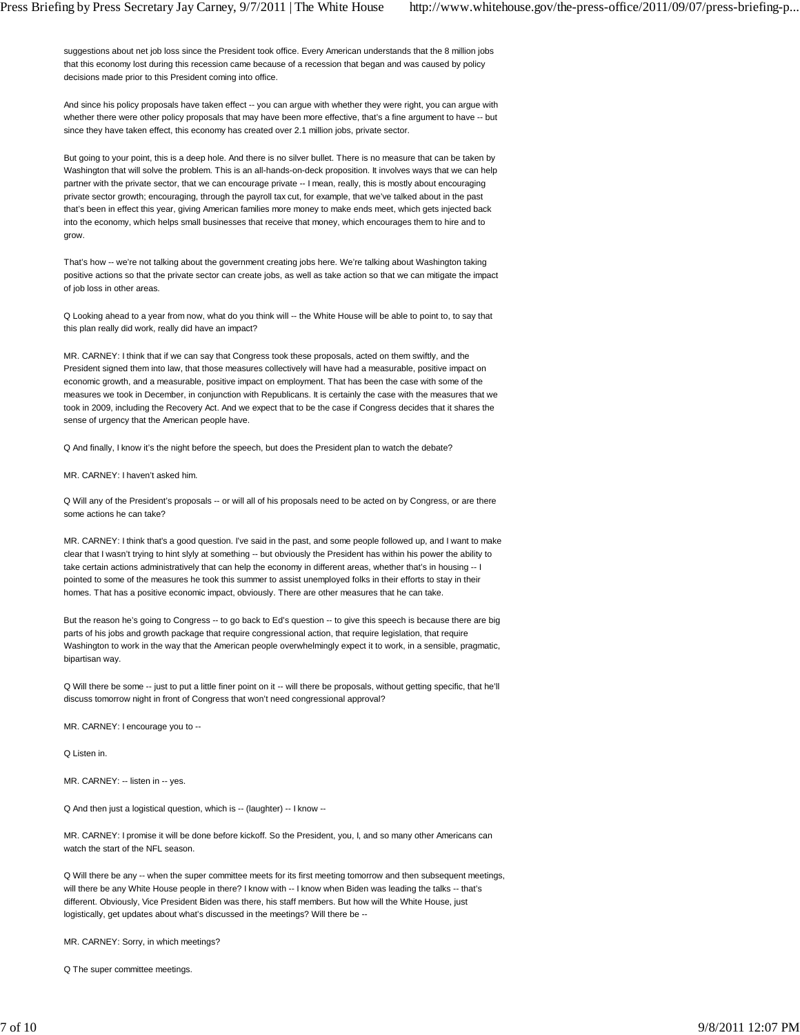suggestions about net job loss since the President took office. Every American understands that the 8 million jobs that this economy lost during this recession came because of a recession that began and was caused by policy decisions made prior to this President coming into office.

And since his policy proposals have taken effect -- you can argue with whether they were right, you can argue with whether there were other policy proposals that may have been more effective, that's a fine argument to have -- but since they have taken effect, this economy has created over 2.1 million jobs, private sector.

But going to your point, this is a deep hole. And there is no silver bullet. There is no measure that can be taken by Washington that will solve the problem. This is an all-hands-on-deck proposition. It involves ways that we can help partner with the private sector, that we can encourage private -- I mean, really, this is mostly about encouraging private sector growth; encouraging, through the payroll tax cut, for example, that we've talked about in the past that's been in effect this year, giving American families more money to make ends meet, which gets injected back into the economy, which helps small businesses that receive that money, which encourages them to hire and to grow.

That's how -- we're not talking about the government creating jobs here. We're talking about Washington taking positive actions so that the private sector can create jobs, as well as take action so that we can mitigate the impact of job loss in other areas.

Q Looking ahead to a year from now, what do you think will -- the White House will be able to point to, to say that this plan really did work, really did have an impact?

MR. CARNEY: I think that if we can say that Congress took these proposals, acted on them swiftly, and the President signed them into law, that those measures collectively will have had a measurable, positive impact on economic growth, and a measurable, positive impact on employment. That has been the case with some of the measures we took in December, in conjunction with Republicans. It is certainly the case with the measures that we took in 2009, including the Recovery Act. And we expect that to be the case if Congress decides that it shares the sense of urgency that the American people have.

Q And finally, I know it's the night before the speech, but does the President plan to watch the debate?

MR. CARNEY: I haven't asked him.

Q Will any of the President's proposals -- or will all of his proposals need to be acted on by Congress, or are there some actions he can take?

MR. CARNEY: I think that's a good question. I've said in the past, and some people followed up, and I want to make clear that I wasn't trying to hint slyly at something -- but obviously the President has within his power the ability to take certain actions administratively that can help the economy in different areas, whether that's in housing -- I pointed to some of the measures he took this summer to assist unemployed folks in their efforts to stay in their homes. That has a positive economic impact, obviously. There are other measures that he can take.

But the reason he's going to Congress -- to go back to Ed's question -- to give this speech is because there are big parts of his jobs and growth package that require congressional action, that require legislation, that require Washington to work in the way that the American people overwhelmingly expect it to work, in a sensible, pragmatic, bipartisan way.

Q Will there be some -- just to put a little finer point on it -- will there be proposals, without getting specific, that he'll discuss tomorrow night in front of Congress that won't need congressional approval?

MR. CARNEY: I encourage you to --

Q Listen in.

MR. CARNEY: -- listen in -- yes.

Q And then just a logistical question, which is -- (laughter) -- I know --

MR. CARNEY: I promise it will be done before kickoff. So the President, you, I, and so many other Americans can watch the start of the NFL season.

Q Will there be any -- when the super committee meets for its first meeting tomorrow and then subsequent meetings, will there be any White House people in there? I know with -- I know when Biden was leading the talks -- that's different. Obviously, Vice President Biden was there, his staff members. But how will the White House, just logistically, get updates about what's discussed in the meetings? Will there be --

MR. CARNEY: Sorry, in which meetings?

Q The super committee meetings.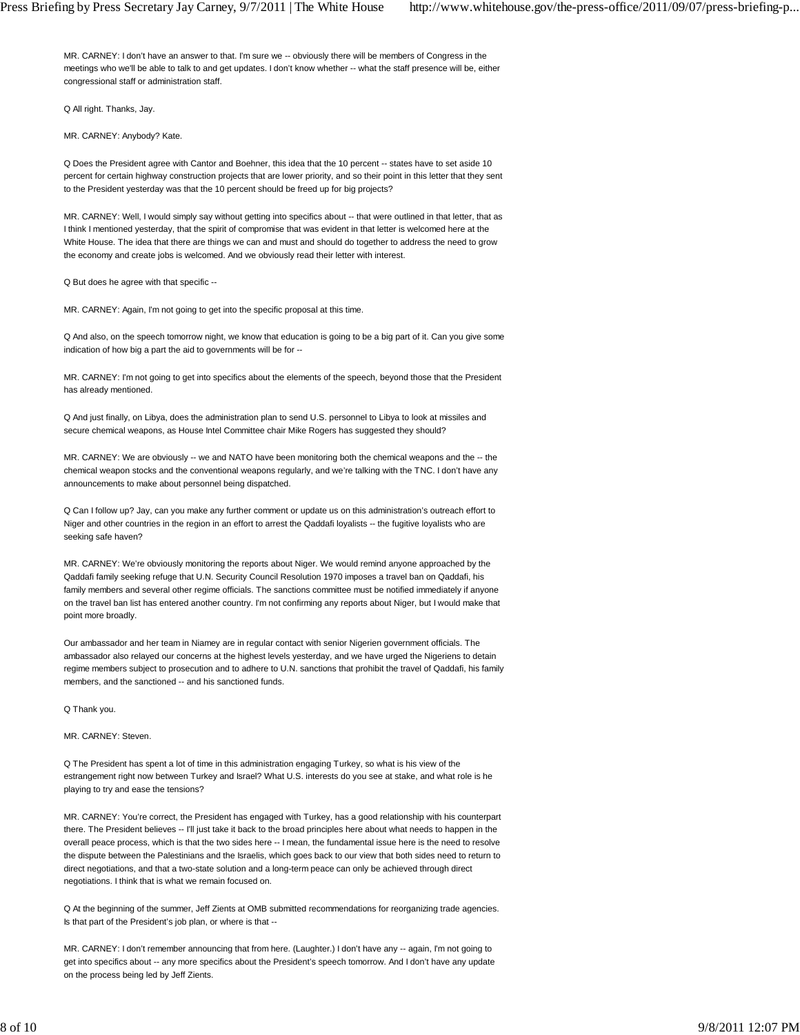MR. CARNEY: I don't have an answer to that. I'm sure we -- obviously there will be members of Congress in the meetings who we'll be able to talk to and get updates. I don't know whether -- what the staff presence will be, either congressional staff or administration staff.

Q All right. Thanks, Jay.

MR. CARNEY: Anybody? Kate.

Q Does the President agree with Cantor and Boehner, this idea that the 10 percent -- states have to set aside 10 percent for certain highway construction projects that are lower priority, and so their point in this letter that they sent to the President yesterday was that the 10 percent should be freed up for big projects?

MR. CARNEY: Well, I would simply say without getting into specifics about -- that were outlined in that letter, that as I think I mentioned yesterday, that the spirit of compromise that was evident in that letter is welcomed here at the White House. The idea that there are things we can and must and should do together to address the need to grow the economy and create jobs is welcomed. And we obviously read their letter with interest.

Q But does he agree with that specific --

MR. CARNEY: Again, I'm not going to get into the specific proposal at this time.

Q And also, on the speech tomorrow night, we know that education is going to be a big part of it. Can you give some indication of how big a part the aid to governments will be for --

MR. CARNEY: I'm not going to get into specifics about the elements of the speech, beyond those that the President has already mentioned.

Q And just finally, on Libya, does the administration plan to send U.S. personnel to Libya to look at missiles and secure chemical weapons, as House Intel Committee chair Mike Rogers has suggested they should?

MR. CARNEY: We are obviously -- we and NATO have been monitoring both the chemical weapons and the -- the chemical weapon stocks and the conventional weapons regularly, and we're talking with the TNC. I don't have any announcements to make about personnel being dispatched.

Q Can I follow up? Jay, can you make any further comment or update us on this administration's outreach effort to Niger and other countries in the region in an effort to arrest the Qaddafi loyalists -- the fugitive loyalists who are seeking safe haven?

MR. CARNEY: We're obviously monitoring the reports about Niger. We would remind anyone approached by the Qaddafi family seeking refuge that U.N. Security Council Resolution 1970 imposes a travel ban on Qaddafi, his family members and several other regime officials. The sanctions committee must be notified immediately if anyone on the travel ban list has entered another country. I'm not confirming any reports about Niger, but I would make that point more broadly.

Our ambassador and her team in Niamey are in regular contact with senior Nigerien government officials. The ambassador also relayed our concerns at the highest levels yesterday, and we have urged the Nigeriens to detain regime members subject to prosecution and to adhere to U.N. sanctions that prohibit the travel of Qaddafi, his family members, and the sanctioned -- and his sanctioned funds.

Q Thank you.

MR. CARNEY: Steven.

Q The President has spent a lot of time in this administration engaging Turkey, so what is his view of the estrangement right now between Turkey and Israel? What U.S. interests do you see at stake, and what role is he playing to try and ease the tensions?

MR. CARNEY: You're correct, the President has engaged with Turkey, has a good relationship with his counterpart there. The President believes -- I'll just take it back to the broad principles here about what needs to happen in the overall peace process, which is that the two sides here -- I mean, the fundamental issue here is the need to resolve the dispute between the Palestinians and the Israelis, which goes back to our view that both sides need to return to direct negotiations, and that a two-state solution and a long-term peace can only be achieved through direct negotiations. I think that is what we remain focused on.

Q At the beginning of the summer, Jeff Zients at OMB submitted recommendations for reorganizing trade agencies. Is that part of the President's job plan, or where is that --

MR. CARNEY: I don't remember announcing that from here. (Laughter.) I don't have any -- again, I'm not going to get into specifics about -- any more specifics about the President's speech tomorrow. And I don't have any update on the process being led by Jeff Zients.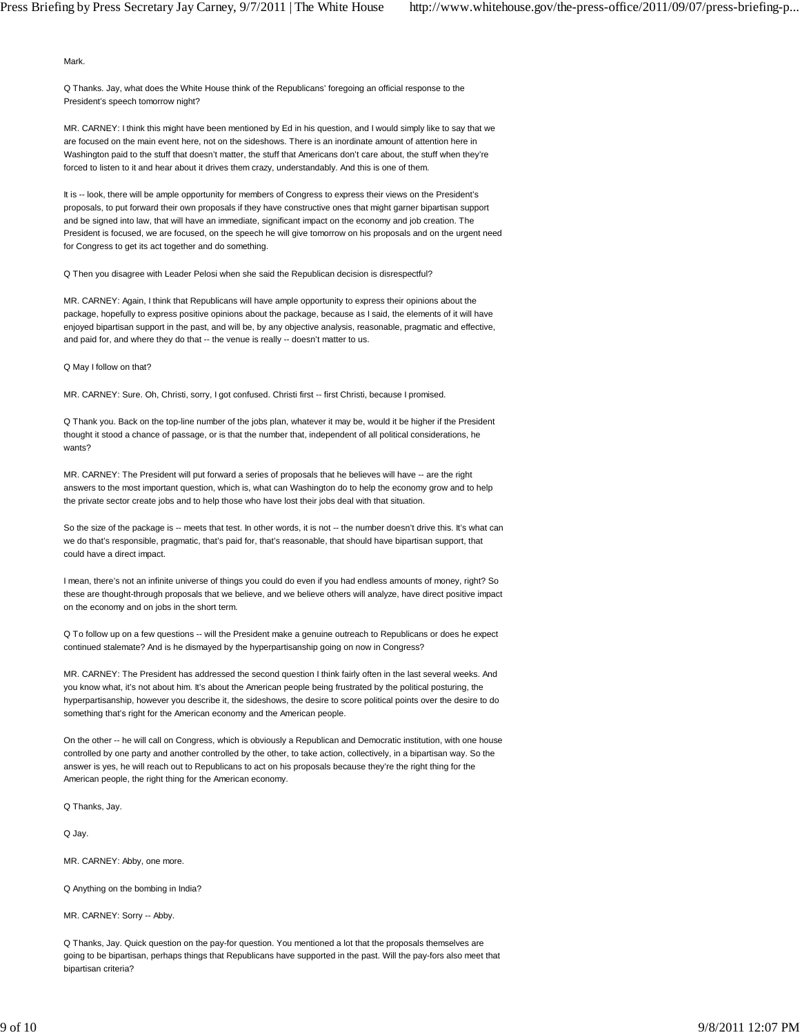Mark.

Q Thanks. Jay, what does the White House think of the Republicans' foregoing an official response to the President's speech tomorrow night?

MR. CARNEY: I think this might have been mentioned by Ed in his question, and I would simply like to say that we are focused on the main event here, not on the sideshows. There is an inordinate amount of attention here in Washington paid to the stuff that doesn't matter, the stuff that Americans don't care about, the stuff when they're forced to listen to it and hear about it drives them crazy, understandably. And this is one of them.

It is -- look, there will be ample opportunity for members of Congress to express their views on the President's proposals, to put forward their own proposals if they have constructive ones that might garner bipartisan support and be signed into law, that will have an immediate, significant impact on the economy and job creation. The President is focused, we are focused, on the speech he will give tomorrow on his proposals and on the urgent need for Congress to get its act together and do something.

Q Then you disagree with Leader Pelosi when she said the Republican decision is disrespectful?

MR. CARNEY: Again, I think that Republicans will have ample opportunity to express their opinions about the package, hopefully to express positive opinions about the package, because as I said, the elements of it will have enjoyed bipartisan support in the past, and will be, by any objective analysis, reasonable, pragmatic and effective, and paid for, and where they do that -- the venue is really -- doesn't matter to us.

Q May I follow on that?

MR. CARNEY: Sure. Oh, Christi, sorry, I got confused. Christi first -- first Christi, because I promised.

Q Thank you. Back on the top-line number of the jobs plan, whatever it may be, would it be higher if the President thought it stood a chance of passage, or is that the number that, independent of all political considerations, he wants?

MR. CARNEY: The President will put forward a series of proposals that he believes will have -- are the right answers to the most important question, which is, what can Washington do to help the economy grow and to help the private sector create jobs and to help those who have lost their jobs deal with that situation.

So the size of the package is -- meets that test. In other words, it is not -- the number doesn't drive this. It's what can we do that's responsible, pragmatic, that's paid for, that's reasonable, that should have bipartisan support, that could have a direct impact.

I mean, there's not an infinite universe of things you could do even if you had endless amounts of money, right? So these are thought-through proposals that we believe, and we believe others will analyze, have direct positive impact on the economy and on jobs in the short term.

Q To follow up on a few questions -- will the President make a genuine outreach to Republicans or does he expect continued stalemate? And is he dismayed by the hyperpartisanship going on now in Congress?

MR. CARNEY: The President has addressed the second question I think fairly often in the last several weeks. And you know what, it's not about him. It's about the American people being frustrated by the political posturing, the hyperpartisanship, however you describe it, the sideshows, the desire to score political points over the desire to do something that's right for the American economy and the American people.

On the other -- he will call on Congress, which is obviously a Republican and Democratic institution, with one house controlled by one party and another controlled by the other, to take action, collectively, in a bipartisan way. So the answer is yes, he will reach out to Republicans to act on his proposals because they're the right thing for the American people, the right thing for the American economy.

Q Thanks, Jay.

Q Jay.

MR. CARNEY: Abby, one more.

Q Anything on the bombing in India?

MR. CARNEY: Sorry -- Abby.

Q Thanks, Jay. Quick question on the pay-for question. You mentioned a lot that the proposals themselves are going to be bipartisan, perhaps things that Republicans have supported in the past. Will the pay-fors also meet that bipartisan criteria?